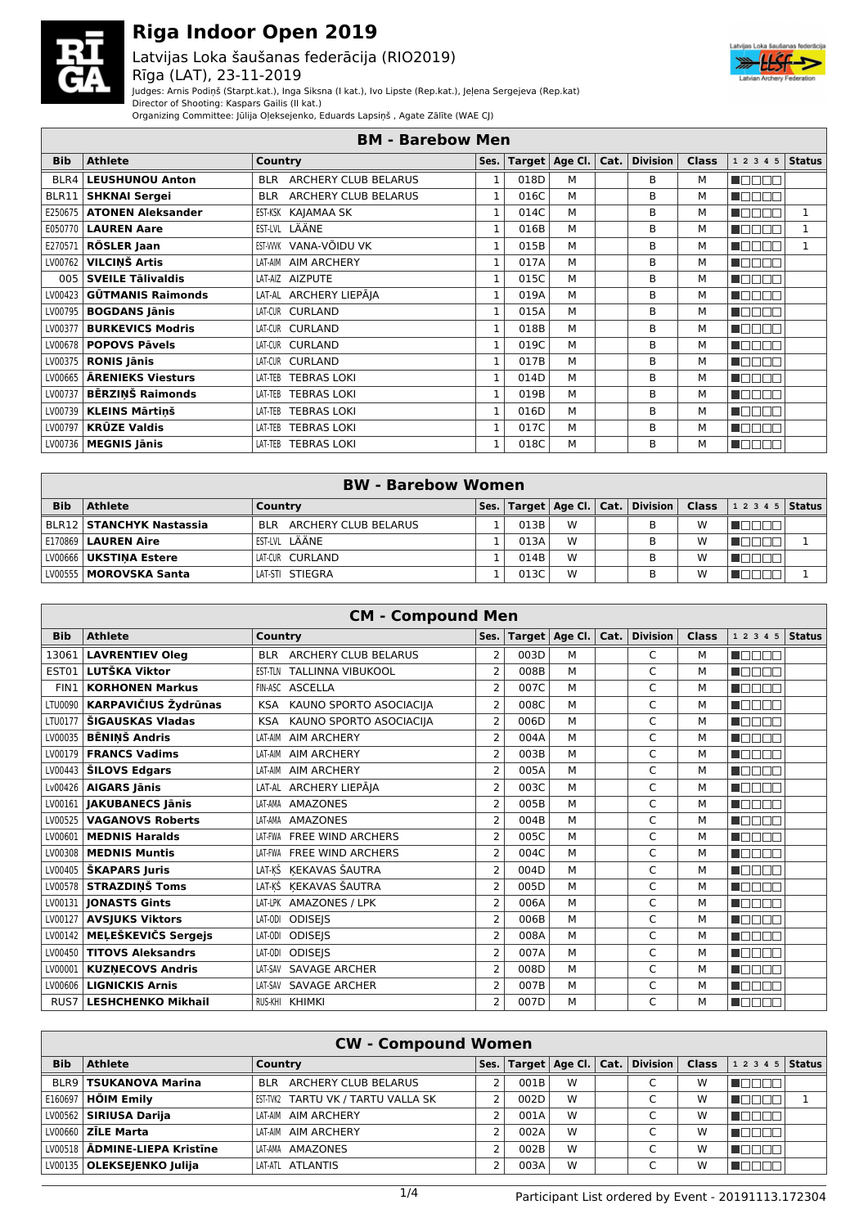

#### Latvijas Loka šaušanas federācija (RIO2019) Rīga (LAT), 23-11-2019



Judges: Arnis Podiņš (Starpt.kat.), Inga Siksna (I kat.), Ivo Lipste (Rep.kat.), Jeļena Sergejeva (Rep.kat)

Director of Shooting: Kaspars Gailis (II kat.)

Organizing Committee: Jūlija Oļeksejenko, Eduards Lapsiņš , Agate Zālīte (WAE CJ)

|                  | <b>BM - Barebow Men</b>  |                                    |              |      |                         |  |                 |              |                |               |  |  |
|------------------|--------------------------|------------------------------------|--------------|------|-------------------------|--|-----------------|--------------|----------------|---------------|--|--|
| <b>Bib</b>       | <b>Athlete</b>           | Country                            | Ses.         |      | Target   Age Cl.   Cat. |  | <b>Division</b> | <b>Class</b> | 1 2 3 4 5      | <b>Status</b> |  |  |
| BLR4             | <b>LEUSHUNOU Anton</b>   | ARCHERY CLUB BELARUS<br><b>BLR</b> | $\mathbf{1}$ | 018D | M                       |  | B               | м            | n martin       |               |  |  |
| BLR11            | <b>SHKNAI Sergei</b>     | ARCHERY CLUB BELARUS<br><b>BLR</b> | $\mathbf{1}$ | 016C | M                       |  | B               | м            | un mar         |               |  |  |
| E250675          | <b>ATONEN Aleksander</b> | KAJAMAA SK<br>EST-KSK              | 1            | 014C | M                       |  | B               | м            | <b>TILL</b>    | 1             |  |  |
| E050770          | <b>LAUREN Aare</b>       | EST-LVL LÄÄNE                      | $\mathbf{1}$ | 016B | M                       |  | B               | м            | T FIF          |               |  |  |
| E270571          | RÖSLER Jaan              | EST-WWK VANA-VÕIDU VK              | $\mathbf{1}$ | 015B | M                       |  | B               | м            | NA FIFIC       | 1             |  |  |
| LV00762          | <b>VILCINŠ Artis</b>     | LAT-AIM AIM ARCHERY                | 1            | 017A | M                       |  | B               | м            | n na na n      |               |  |  |
| 005 <sub>1</sub> | <b>SVEILE Tälivaldis</b> | LAT-AIZ AIZPUTE                    | $\mathbf{1}$ | 015C | M                       |  | B               | м            | <b>RANDA</b>   |               |  |  |
| LV00423          | <b>GÜTMANIS Raimonds</b> | LAT-AL ARCHERY LIEPĀJA             | $\mathbf{1}$ | 019A | M                       |  | B               | м            | <b>UNDER</b>   |               |  |  |
| LV00795          | <b>BOGDANS Jānis</b>     | LAT-CUR CURLAND                    | $\mathbf{1}$ | 015A | M                       |  | B               | м            | <b>NOCIA</b> N |               |  |  |
| LV00377          | <b>BURKEVICS Modris</b>  | LAT-CUR CURLAND                    | $\mathbf{1}$ | 018B | M                       |  | B               | м            | manan a        |               |  |  |
| LV00678          | <b>POPOVS Pävels</b>     | LAT-CUR CURLAND                    | $\mathbf{1}$ | 019C | M                       |  | B               | м            | manan s        |               |  |  |
| LV00375          | <b>RONIS Jānis</b>       | CURLAND<br>LAT-CUR                 | $\mathbf{1}$ | 017B | M                       |  | B               | м            | n mmm          |               |  |  |
| LV00665          | <b>ARENIEKS Viesturs</b> | <b>TEBRAS LOKI</b><br>LAT-TEB      | 1            | 014D | м                       |  | B               | м            | TANAG          |               |  |  |
| LV00737          | <b>BĒRZINŠ Raimonds</b>  | <b>TEBRAS LOKI</b><br>LAT-TEB      | $\mathbf{1}$ | 019B | M                       |  | B               | м            | uppon          |               |  |  |
| LV00739          | <b>KLEINS Mārtinš</b>    | <b>TEBRAS LOKI</b><br>LAT-TEB      | 1            | 016D | M                       |  | B               | м            | <b>H</b> OOOO  |               |  |  |
| LV00797          | <b>KRŪZE Valdis</b>      | <b>TEBRAS LOKI</b><br>LAT-TEB      | 1            | 017C | M                       |  | В               | м            | manan s        |               |  |  |
|                  | LV00736   MEGNIS Jānis   | LAT-TEB TEBRAS LOKI                | $\mathbf{1}$ | 018C | M                       |  | В               | м            | Maaaa          |               |  |  |

|            |                                   | <b>BW</b> - Barebow Women |      |      |   |                                            |   |                    |  |
|------------|-----------------------------------|---------------------------|------|------|---|--------------------------------------------|---|--------------------|--|
| <b>Bib</b> | <b>Athlete</b>                    | Country                   | Ses. |      |   | Target   Age Cl.   Cat.   Division   Class |   | 1 2 3 4 5   Status |  |
|            | BLR12 <b>  STANCHYK Nastassia</b> | BLR ARCHERY CLUB BELARUS  |      | 013B | W | B                                          | W |                    |  |
|            | E170869 LAUREN Aire               | EST-LVL LÄÄNE             |      | 013A | W | B                                          | W |                    |  |
|            | LV00666   UKSTINA Estere          | LAT-CUR CURLAND           |      | 014B | W | B                                          | W |                    |  |
|            | LV00555   MOROVSKA Santa          | LAT-STI STIEGRA           |      | 013C | W | B                                          | w |                    |  |

|            | <b>CM - Compound Men</b>    |                                           |                          |      |                        |      |                 |              |                      |               |  |  |
|------------|-----------------------------|-------------------------------------------|--------------------------|------|------------------------|------|-----------------|--------------|----------------------|---------------|--|--|
| <b>Bib</b> | <b>Athlete</b>              | Country                                   | Ses.                     |      | Target $ $ Age Cl. $ $ | Cat. | <b>Division</b> | <b>Class</b> | 1 2 3 4 5            | <b>Status</b> |  |  |
| 13061      | <b>LAVRENTIEV Oleg</b>      | <b>ARCHERY CLUB BELARUS</b><br><b>BLR</b> | 2                        | 003D | м                      |      | C               | м            | MAN DA               |               |  |  |
| EST01      | <b>LUTŠKA Viktor</b>        | <b>TALLINNA VIBUKOOL</b><br>EST-TLN       | 2                        | 008B | М                      |      | C               | м            | U DI DI              |               |  |  |
| FIN1       | <b>KORHONEN Markus</b>      | FIN-ASC ASCELLA                           | 2                        | 007C | М                      |      | C               | М            | n mm                 |               |  |  |
| LTU0090    | <b>KARPAVIČIUS Žydrūnas</b> | KAUNO SPORTO ASOCIACIJA<br><b>KSA</b>     | 2                        | 008C | М                      |      | C               | м            | TANAN                |               |  |  |
| LTU0177    | ŠIGAUSKAS Vladas            | KAUNO SPORTO ASOCIACIJA<br><b>KSA</b>     | 2                        | 006D | M                      |      | C               | М            | n an an              |               |  |  |
| LV00035    | <b>BĒNINŠ Andris</b>        | <b>AIM ARCHERY</b><br>LAT-AIM             | 2                        | 004A | M                      |      | C               | M            | UN DI L              |               |  |  |
| LV00179    | <b>FRANCS Vadims</b>        | <b>AIM ARCHERY</b><br>LAT-AIM             | $\overline{2}$           | 003B | M                      |      | C               | М            | $\Box$ $\Box$ $\Box$ |               |  |  |
| LV00443    | <b>ŠILOVS Edgars</b>        | <b>AIM ARCHERY</b><br>LAT-AIM             | 2                        | 005A | М                      |      | C               | M            | n din sa m           |               |  |  |
| Lv00426    | <b>AIGARS Jānis</b>         | LAT-AL ARCHERY LIEPĀJA                    | 2                        | 003C | M                      |      | C               | М            | MAN DA               |               |  |  |
| LV00161    | <b>JAKUBANECS Jānis</b>     | <b>AMAZONES</b><br>I AT-AMA               | 2                        | 005B | M                      |      | C               | M            | n na m               |               |  |  |
| LV00525    | <b>VAGANOVS Roberts</b>     | LAT-AMA<br>AMAZONES                       | $\overline{2}$           | 004B | M                      |      | C               | М            | - I F I F            |               |  |  |
| LV00601    | <b>MEDNIS Haralds</b>       | <b>FREE WIND ARCHERS</b><br>LAT-FWA       | 2                        | 005C | M                      |      | C               | M            | u Filmi              |               |  |  |
| LV00308    | <b>MEDNIS Muntis</b>        | <b>FREE WIND ARCHERS</b><br>LAT-FWA       | 2                        | 004C | M                      |      | C               | М            |                      |               |  |  |
| LV00405    | ŠKAPARS Juris               | KEKAVAS ŠAUTRA<br>LAT-KŠ                  | 2                        | 004D | М                      |      | C               | M            | nn nn m              |               |  |  |
| LV00578    | <b>STRAZDINŠ Toms</b>       | LAT-KŠ KEKAVAS ŠAUTRA                     | $\overline{2}$           | 005D | M                      |      | C               | М            | n an Dio             |               |  |  |
| LV00131    | <b>IONASTS Gints</b>        | LAT-LPK AMAZONES / LPK                    | $\overline{2}$           | 006A | м                      |      | C               | М            | MA DI DI T           |               |  |  |
| LV00127    | <b>AVSJUKS Viktors</b>      | <b>ODISEIS</b><br>LAT-ODI                 | $\overline{2}$           | 006B | М                      |      | C               | M            | MAN DA               |               |  |  |
| LV00142    | MELEŠKEVIČS Sergejs         | <b>ODISEIS</b><br>LAT-ODI                 | $\overline{2}$           | 008A | М                      |      | C               | M            | <b>UNDARI</b>        |               |  |  |
| LV00450    | <b>TITOVS Aleksandrs</b>    | <b>ODISEIS</b><br>LAT-ODI                 | $\overline{2}$           | 007A | М                      |      | C               | M            | U LIT                |               |  |  |
| LV00001    | <b>KUZNECOVS Andris</b>     | <b>SAVAGE ARCHER</b><br>LAT-SAV           | 2                        | 008D | М                      |      | C               | M            | n din sa m           |               |  |  |
| LV00606    | <b>LIGNICKIS Arnis</b>      | <b>SAVAGE ARCHER</b><br>LAT-SAV           | $\overline{2}$           | 007B | М                      |      | C               | M            | n di                 |               |  |  |
| RUS7       | <b>LESHCHENKO Mikhail</b>   | RUS-KHI KHIMKI                            | $\overline{\phantom{a}}$ | 007D | M                      |      | C               | м            |                      |               |  |  |

| <b>CW - Compound Women</b> |                                 |                                    |      |      |   |  |                                    |              |                |  |  |
|----------------------------|---------------------------------|------------------------------------|------|------|---|--|------------------------------------|--------------|----------------|--|--|
| <b>Bib</b>                 | <b>Athlete</b>                  | Country                            | Ses. |      |   |  | Target   Age Cl.   Cat.   Division | <b>Class</b> | $12345$ Status |  |  |
|                            | <b>BLR9   TSUKANOVA Marina</b>  | ARCHERY CLUB BELARUS<br><b>BLR</b> |      | 001B | W |  |                                    | W            | 1              |  |  |
|                            | E160697 <b>  HÕIM Emily</b>     | EST-TVK2 TARTU VK / TARTU VALLA SK |      | 002D | W |  |                                    | W            |                |  |  |
|                            | LV00562   SIRIUSA Darija        | <b>AIM ARCHERY</b><br>LAT-AIM      |      | 001A | W |  |                                    | W            | 70 O           |  |  |
|                            | LV00660 <b>  ZĪLE Marta</b>     | AIM ARCHERY<br>LAT-AIM             |      | 002A | W |  |                                    | W            | חרו            |  |  |
|                            | LV00518   ĀDMINE-LIEPA Kristīne | AMAZONES<br>LAT-AMA                |      | 002B | W |  |                                    | w            | חרו            |  |  |
|                            | LV00135   OLEKSEJENKO Julija    | LAT-ATL ATLANTIS                   |      | 003A | W |  |                                    | W            | חרו            |  |  |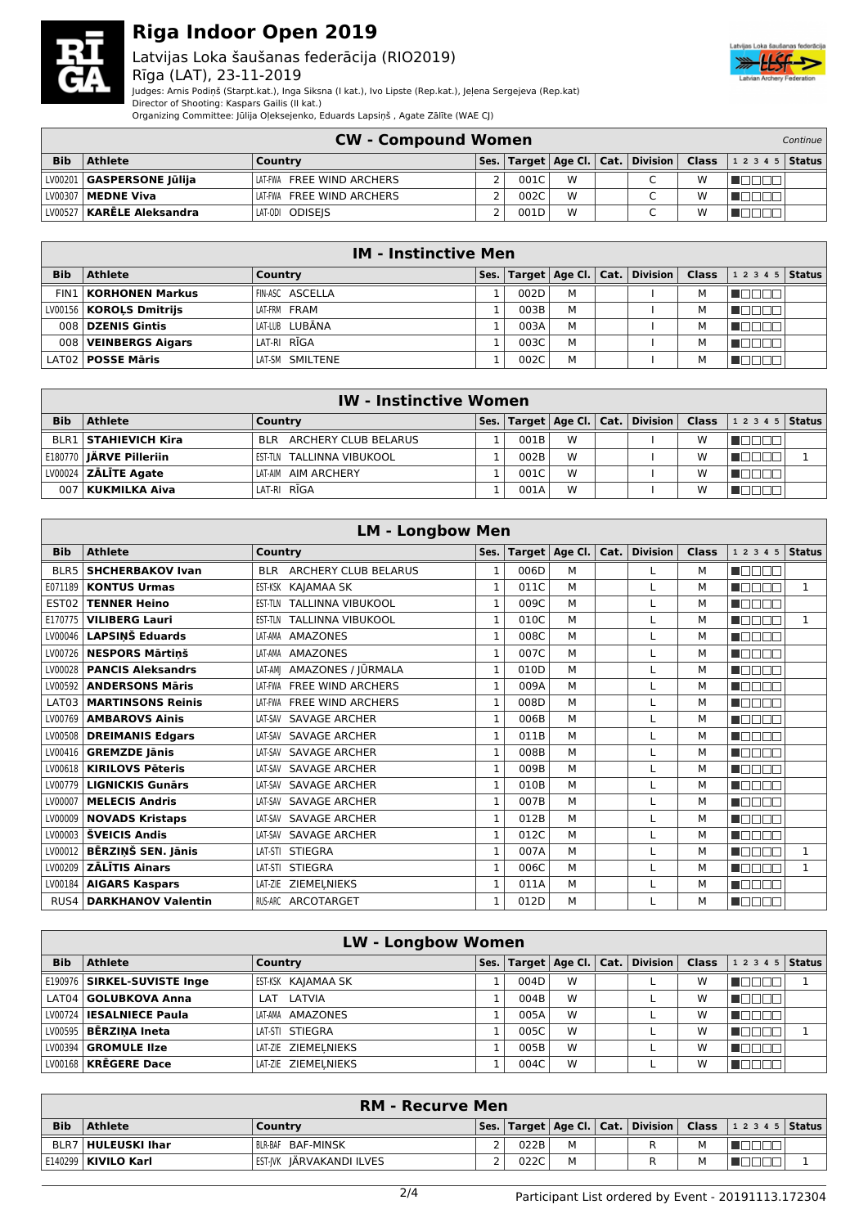

#### Latvijas Loka šaušanas federācija (RIO2019) Rīga (LAT), 23-11-2019



Judges: Arnis Podiņš (Starpt.kat.), Inga Siksna (I kat.), Ivo Lipste (Rep.kat.), Jeļena Sergejeva (Rep.kat) Director of Shooting: Kaspars Gailis (II kat.)

Organizing Committee: Jūlija Oļeksejenko, Eduards Lapsiņš , Agate Zālīte (WAE CJ)

|            | <b>CW - Compound Women</b>  |                           |  |      |   |  |                          |   |                                                                      |  |
|------------|-----------------------------|---------------------------|--|------|---|--|--------------------------|---|----------------------------------------------------------------------|--|
| <b>Bib</b> | <b>Athlete</b>              | Country                   |  |      |   |  |                          |   | Ses. Target   Age Cl.   Cat.   Division   Class   1 2 3 4 5   Status |  |
|            | LV00201   GASPERSONE Jūlija | LAT-FWA FREE WIND ARCHERS |  | 001C | W |  | $\sqrt{2}$               | w |                                                                      |  |
|            | LV00307   MEDNE Viva        | LAT-FWA FREE WIND ARCHERS |  | 002C | W |  | $\overline{\phantom{0}}$ | w |                                                                      |  |
|            | LV00527   KARĒLE Aleksandra | LAT-ODI ODISEIS           |  | 001D | W |  | $\overline{\phantom{0}}$ | W |                                                                      |  |

|            | <b>IM - Instinctive Men</b>   |                        |      |      |   |  |                                            |  |                |  |  |  |
|------------|-------------------------------|------------------------|------|------|---|--|--------------------------------------------|--|----------------|--|--|--|
| <b>Bib</b> | <b>Athlete</b>                | Country                | Ses. |      |   |  | Target   Age Cl.   Cat.   Division   Class |  | $12345$ Status |  |  |  |
|            | <b>FIN1   KORHONEN Markus</b> | <b>FIN-ASC ASCELLA</b> |      | 002D | М |  |                                            |  |                |  |  |  |
|            | LV00156   KOROLS Dmitrijs     | LAT-FRM FRAM           |      | 003B | М |  |                                            |  |                |  |  |  |
|            | 008 DZENIS Gintis             | LAT-LUB LUBĀNA         |      | 003A | M |  |                                            |  |                |  |  |  |
|            | 008 VEINBERGS Algars          | LAT-RI RĪGA            |      | 003C | М |  |                                            |  |                |  |  |  |
|            | LAT02   POSSE Māris           | LAT-SM SMILTENE        |      | 002C | М |  |                                            |  |                |  |  |  |

|            | <b>IW</b> - Instinctive Women  |                           |  |      |   |  |                                                                 |   |                |  |  |  |
|------------|--------------------------------|---------------------------|--|------|---|--|-----------------------------------------------------------------|---|----------------|--|--|--|
| <b>Bib</b> | <b>Athlete</b>                 | Country                   |  |      |   |  | $ $ Ses. $ $ Target $ $ Age Cl. $ $ Cat. $ $ Division $ $ Class |   | $12345$ Status |  |  |  |
|            | <b>BLR1   STAHIEVICH Kira</b>  | BLR ARCHERY CLUB BELARUS  |  | 001B | W |  |                                                                 | w | HETEL T        |  |  |  |
|            | E180770 <b>JÄRVE Pilleriin</b> | EST-TLN TALLINNA VIBUKOOL |  | 002B | W |  |                                                                 | W |                |  |  |  |
|            | $LV00024$ ZALITE Agate         | LAT-AIM AIM ARCHERY       |  | 001C | W |  |                                                                 | W | .              |  |  |  |
| 007        | <b>KUKMILKA Aiva</b>           | LAT-RI RĪGA               |  | 001A | W |  |                                                                 | w |                |  |  |  |

|                   |                           | <b>LM - Longbow Men</b>                    |              |      |                  |      |                 |              |              |               |
|-------------------|---------------------------|--------------------------------------------|--------------|------|------------------|------|-----------------|--------------|--------------|---------------|
| <b>Bib</b>        | <b>Athlete</b>            | Country                                    | Ses.         |      | Target   Age Cl. | Cat. | <b>Division</b> | <b>Class</b> | 1 2 3 4 5    | <b>Status</b> |
| BLR5              | <b>SHCHERBAKOV Ivan</b>   | <b>ARCHERY CLUB BELARUS</b><br><b>BIR</b>  | $\mathbf{1}$ | 006D | M                |      |                 | M            | <b>REBER</b> |               |
| E071189           | <b>KONTUS Urmas</b>       | KAJAMAA SK<br>EST-KSK                      | 1            | 011C | M                |      |                 | M            | MENT T       | $\mathbf{1}$  |
| EST <sub>02</sub> | <b>TENNER Heino</b>       | <b>TALLINNA VIBUKOOL</b><br><b>EST-TLN</b> | $\mathbf{1}$ | 009C | M                |      |                 | м            | n mana       |               |
| E170775           | <b>VILIBERG Lauri</b>     | <b>TALLINNA VIBUKOOL</b><br>EST-TLN        | $\mathbf{1}$ | 010C | M                |      |                 | м            | na an D      | $\mathbf{1}$  |
| LV00046           | <b>LAPSINŠ Eduards</b>    | <b>AMAZONES</b><br>LAT-AMA                 | 1            | 008C | M                |      |                 | M            | <b>RADOR</b> |               |
| LV00726           | <b>NESPORS Mārtinš</b>    | <b>AMAZONES</b><br>LAT-AMA                 | $\mathbf{1}$ | 007C | M                |      |                 | м            | n mana       |               |
| LV00028           | <b>PANCIS Aleksandrs</b>  | AMAZONES / JŪRMALA<br>LAT-AMI              | 1            | 010D | M                |      |                 | M            | n de se      |               |
| LV00592           | <b>ANDERSONS Märis</b>    | <b>FREE WIND ARCHERS</b><br>I AT-FWA       | $\mathbf{1}$ | 009A | M                |      |                 | M            | MA DEL 1     |               |
| LAT03             | <b>MARTINSONS Reinis</b>  | <b>FREE WIND ARCHERS</b><br>LAT-FWA        | $\mathbf{1}$ | 008D | M                |      |                 | M            | <b>RADAR</b> |               |
| LV00769           | <b>AMBAROVS Ainis</b>     | SAVAGE ARCHER<br>LAT-SAV                   | 1            | 006B | M                |      |                 | M            | n din bin    |               |
| LV00508           | <b>DREIMANIS Edgars</b>   | <b>SAVAGE ARCHER</b><br>LAT-SAV            | $\mathbf{1}$ | 011B | M                |      |                 | M            | n in Film    |               |
| LV00416           | <b>GREMZDE Jānis</b>      | <b>SAVAGE ARCHER</b><br>LAT-SAV            | $\mathbf{1}$ | 008B | м                |      |                 | M            | na mana      |               |
| LV00618           | <b>KIRILOVS Pēteris</b>   | <b>SAVAGE ARCHER</b><br>LAT-SAV            | $\mathbf{1}$ | 009B | M                |      |                 | M            | n dooc       |               |
| LV00779           | <b>LIGNICKIS Gunārs</b>   | <b>SAVAGE ARCHER</b><br>LAT-SAV            | $\mathbf{1}$ | 010B | M                |      |                 | M            | n an Dio     |               |
| LV00007           | <b>MELECIS Andris</b>     | <b>SAVAGE ARCHER</b><br>LAT-SAV            | 1            | 007B | M                |      |                 | M            | n mmmm       |               |
| LV00009           | <b>NOVADS Kristaps</b>    | <b>SAVAGE ARCHER</b><br>LAT-SAV            | 1            | 012B | M                |      |                 | M            | mana n       |               |
| LV00003           | <b>ŠVEICIS Andis</b>      | SAVAGE ARCHER<br>LAT-SAV                   | 1            | 012C | M                |      |                 | M            | manan s      |               |
| LV00012           | BĒRZINŠ SEN. Jānis        | LAT-STI STIEGRA                            | 1            | 007A | м                |      |                 | M            | n din bir    | $\mathbf{1}$  |
| LV00209           | <b>ZĀLĪTIS Ainars</b>     | LAT-STI STIEGRA                            | $\mathbf{1}$ | 006C | M                |      |                 | M            | a manar      | $\mathbf{1}$  |
| LV00184           | <b>AIGARS Kaspars</b>     | LAT-ZIE ZIEMELNIEKS                        | $\mathbf{1}$ | 011A | M                |      |                 | M            | n de de      |               |
| RUS4              | <b>DARKHANOV Valentin</b> | RUS-ARC ARCOTARGET                         | $\mathbf{1}$ | 012D | м                |      |                 | M            | na an D      |               |

|            | <b>LW - Longbow Women</b>      |                     |      |      |   |  |                                    |              |                |  |  |
|------------|--------------------------------|---------------------|------|------|---|--|------------------------------------|--------------|----------------|--|--|
| <b>Bib</b> | <b>Athlete</b>                 | Country             | Ses. |      |   |  | Target   Age Cl.   Cat.   Division | <b>Class</b> | $12345$ Status |  |  |
|            | E190976   SIRKEL-SUVISTE Inge  | EST-KSK KAJAMAA SK  |      | 004D | W |  |                                    | w            |                |  |  |
|            | LAT04   GOLUBKOVA Anna         | LAT LATVIA          |      | 004B | W |  |                                    | w            | IUUUL          |  |  |
|            | LV00724   IESALNIECE Paula     | LAT-AMA AMAZONES    |      | 005A | W |  |                                    | w            |                |  |  |
|            | LV00595 <b>  BĒRZINA Ineta</b> | LAT-STI STIEGRA     |      | 005C | W |  |                                    | w            |                |  |  |
|            | LV00394   <b>GROMULE Ilze</b>  | LAT-ZIE ZIEMELNIEKS |      | 005B | W |  |                                    | W            | 3000           |  |  |
|            | LV00168   KRĒGERE Dace         | LAT-ZIE ZIEMELNIEKS |      | 004C | W |  |                                    | w            |                |  |  |

|            | <b>RM - Recurve Men</b>     |                          |  |      |   |  |  |   |                                                                                                                          |  |  |
|------------|-----------------------------|--------------------------|--|------|---|--|--|---|--------------------------------------------------------------------------------------------------------------------------|--|--|
| <b>Bib</b> | <b>Athlete</b>              | Country                  |  |      |   |  |  |   | $ \mathsf{Ses.} \mathsf{Target} \mathsf{Age}\mathsf{Cl.} \mathsf{Cat.} \mathsf{Division} \mathsf{Class} $ 12345   Status |  |  |
|            | BLR7   <b>HULEUSKI Ihar</b> | IBLR-BAF BAF-MINSK       |  | 022B | M |  |  | M |                                                                                                                          |  |  |
|            | E140299   KIVILO Karl       | EST-IVK JARVAKANDI ILVES |  | 022C | M |  |  | M |                                                                                                                          |  |  |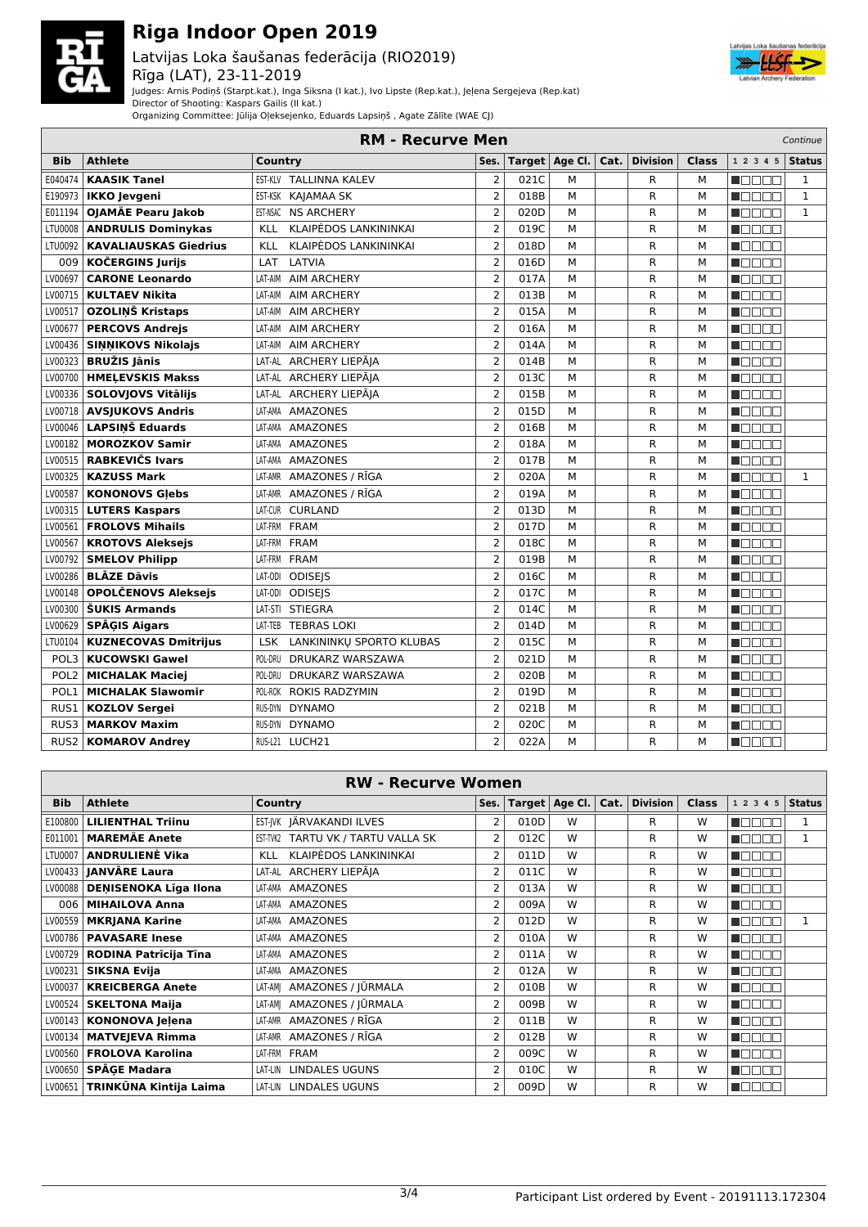

Latvijas Loka šaušanas federācija (RIO2019) Rīga (LAT), 23-11-2019



Judges: Arnis Podiņš (Starpt.kat.), Inga Siksna (I kat.), Ivo Lipste (Rep.kat.), Jeļena Sergejeva (Rep.kat)

Director of Shooting: Kaspars Gailis (II kat.)

Organizing Committee: Jūlija Oļeksejenko, Eduards Lapsiņš , Agate Zālīte (WAE CJ)

|                  |                              | <b>RM - Recurve Men</b>                |                |      |                  |      |                 |              |                | Continue      |
|------------------|------------------------------|----------------------------------------|----------------|------|------------------|------|-----------------|--------------|----------------|---------------|
| <b>Bib</b>       | <b>Athlete</b>               | Country                                | Ses.           |      | Target   Age Cl. | Cat. | <b>Division</b> | <b>Class</b> | 1 2 3 4 5      | <b>Status</b> |
| E040474          | <b>KAASIK Tanel</b>          | EST-KLV TALLINNA KALEV                 | $\overline{2}$ | 021C | M                |      | R               | M            | MA MARIT       | 1             |
| E190973          | <b>IKKO Jevgeni</b>          | EST-KSK KAJAMAA SK                     | $\overline{2}$ | 018B | M                |      | $\mathsf{R}$    | М            | n de an        | $\mathbf{1}$  |
| E011194          | OJAMÄE Pearu Jakob           | <b>NS ARCHERY</b><br>EST-NSAC          | $\overline{2}$ | 020D | M                |      | $\mathsf{R}$    | М            | <b>RANDA</b>   | $\mathbf{1}$  |
| LTU0008          | <b>ANDRULIS Dominykas</b>    | KLAIPĖDOS LANKININKAI<br>KLL           | $\overline{2}$ | 019C | M                |      | $\mathsf{R}$    | М            | UN DE LI       |               |
| LTU0092          | <b>KAVALIAUSKAS Giedrius</b> | KLAIPĖDOS LANKININKAI<br>KLL           | $\overline{2}$ | 018D | M                |      | R               | м            | n je po po     |               |
| 009              | <b>KOČERGINS Jurijs</b>      | LAT<br>LATVIA                          | $\overline{2}$ | 016D | M                |      | R               | М            | TE E E E       |               |
| LV00697          | <b>CARONE Leonardo</b>       | LAT-AIM<br><b>AIM ARCHERY</b>          | $\overline{2}$ | 017A | M                |      | $\mathsf{R}$    | М            | TEEEE          |               |
| LV00715          | <b>KULTAEV Nikita</b>        | <b>AIM ARCHERY</b><br>LAT-AIM          | $\overline{2}$ | 013B | M                |      | $\mathsf{R}$    | М            | n an Din       |               |
| LV00517          | OZOLINŠ Kristaps             | <b>AIM ARCHERY</b><br>LAT-AIM          | $\overline{2}$ | 015A | M                |      | $\mathsf{R}$    | М            | N E E E E      |               |
| LV00677          | <b>PERCOVS Andrejs</b>       | <b>AIM ARCHERY</b><br>LAT-AIM          | $\overline{2}$ | 016A | M                |      | R               | М            | n de e e       |               |
| LV00436          | <b>SINNIKOVS Nikolajs</b>    | <b>AIM ARCHERY</b><br>LAT-AIM          | $\overline{2}$ | 014A | M                |      | R               | M            | TEEEE          |               |
| LV00323          | <b>BRUŽIS Jānis</b>          | LAT-AL ARCHERY LIEPĀJA                 | $\overline{2}$ | 014B | M                |      | R               | M            | n a seo        |               |
| LV00700          | <b>HMELEVSKIS Makss</b>      | LAT-AL ARCHERY LIEPĀIA                 | $\overline{2}$ | 013C | M                |      | R               | M            | <b>RADOR</b>   |               |
| LV00336          | SOLOVJOVS Vitālijs           | LAT-AL ARCHERY LIEPĀJA                 | $\overline{2}$ | 015B | M                |      | $\mathsf{R}$    | М            | n www.         |               |
| LV00718          | <b>AVSJUKOVS Andris</b>      | <b>AMAZONES</b><br>LAT-AMA             | $\overline{2}$ | 015D | M                |      | R               | M            | n de en        |               |
| LV00046          | <b>LAPSINŠ Eduards</b>       | <b>AMAZONES</b><br>LAT-AMA             | $\overline{2}$ | 016B | M                |      | $\mathsf{R}$    | M            | <b>RATTER</b>  |               |
| LV00182          | <b>MOROZKOV Samir</b>        | <b>AMAZONES</b><br>LAT-AMA             | $\overline{2}$ | 018A | M                |      | R               | М            | n e se         |               |
| LV00515          | RABKEVIČS Ivars              | <b>AMAZONES</b><br>LAT-AMA             | $\overline{2}$ | 017B | M                |      | R               | М            | n dia ai       |               |
| LV00325          | <b>KAZUSS Mark</b>           | AMAZONES / RĪGA<br>LAT-AMR             | $\overline{2}$ | 020A | M                |      | R               | M            | MO DE O        | $\mathbf{1}$  |
| LV00587          | <b>KONONOVS Glebs</b>        | AMAZONES / RĪGA<br>LAT-AMR             | $\overline{2}$ | 019A | M                |      | ${\sf R}$       | M            | <b>RADOR</b>   |               |
| LV00315          | <b>LUTERS Kaspars</b>        | <b>CURLAND</b><br>LAT-CUR              | $\overline{2}$ | 013D | M                |      | $\mathsf{R}$    | М            | N E E E E      |               |
| LV00561          | <b>FROLOVS Mihails</b>       | <b>FRAM</b><br>LAT-FRM                 | $\overline{2}$ | 017D | M                |      | R               | М            | n Els Els      |               |
| LV00567          | <b>KROTOVS Aleksejs</b>      | LAT-FRM FRAM                           | $\overline{2}$ | 018C | M                |      | R               | М            | n an an        |               |
| LV00792          | <b>SMELOV Philipp</b>        | LAT-FRM FRAM                           | $\overline{2}$ | 019B | M                |      | R               | м            | <b>RANDA</b>   |               |
| LV00286          | <b>BLĀZE Dāvis</b>           | <b>ODISEIS</b><br>LAT-ODI              | $\overline{2}$ | 016C | M                |      | $\mathsf{R}$    | М            | <b>RICHTIC</b> |               |
| LV00148          | <b>OPOLČENOVS Aleksejs</b>   | <b>ODISEIS</b><br>LAT-ODI              | $\overline{2}$ | 017C | M                |      | $\mathsf{R}$    | М            | n an an        |               |
| LV00300          | <b>ŠUKIS Armands</b>         | STIEGRA<br>LAT-STI                     | $\overline{2}$ | 014C | M                |      | $\mathsf{R}$    | М            | MON DO         |               |
| LV00629          | <b>SPAGIS Aigars</b>         | <b>TEBRAS LOKI</b><br>LAT-TEB          | $\overline{2}$ | 014D | M                |      | $\mathsf{R}$    | М            | n mmm          |               |
| LTU0104          | <b>KUZNECOVAS Dmitrijus</b>  | LANKININKU SPORTO KLUBAS<br><b>LSK</b> | 2              | 015C | M                |      | R               | М            | n an an        |               |
| POL3             | <b>KUCOWSKI Gawel</b>        | DRUKARZ WARSZAWA<br>POL-DRU            | $\overline{2}$ | 021D | M                |      | $\mathsf{R}$    | М            | n je je je     |               |
| POL <sub>2</sub> | <b>MICHALAK Maciej</b>       | DRUKARZ WARSZAWA<br>POL-DRU            | $\overline{2}$ | 020B | M                |      | R               | M            | n Els Els      |               |
|                  | POL1   MICHALAK Slawomir     | POL-ROK ROKIS RADZYMIN                 | $\overline{2}$ | 019D | M                |      | ${\sf R}$       | M            | <b>RATION</b>  |               |
|                  | RUS1   KOZLOV Sergei         | RUS-DYN DYNAMO                         | $\overline{2}$ | 021B | M                |      | ${\sf R}$       | M            | N E E E E      |               |
| RUS3             | <b>MARKOV Maxim</b>          | <b>DYNAMO</b><br>RUS-DYN               | $\overline{2}$ | 020C | M                |      | R               | М            | n an an        |               |
| RUS <sub>2</sub> | <b>KOMAROV Andrey</b>        | RUS-L21 LUCH21                         | $\overline{2}$ | 022A | M                |      | R               | М            | M E E E E      |               |

|            | <b>RW - Recurve Women</b>        |                                       |                |      |                  |      |                 |              |           |              |  |  |  |
|------------|----------------------------------|---------------------------------------|----------------|------|------------------|------|-----------------|--------------|-----------|--------------|--|--|--|
| <b>Bib</b> | <b>Athlete</b>                   | Country                               | Ses.           |      | Target   Age Cl. | Cat. | <b>Division</b> | <b>Class</b> | 1 2 3 4 5 | Status       |  |  |  |
| E100800    | <b>LILIENTHAL Triinu</b>         | EST-IVK JÄRVAKANDI ILVES              | 2              | 010D | W                |      | R               | W            | MOOO O    | 1            |  |  |  |
| E011001    | <b>MAREMÄE Anete</b>             | TARTU VK / TARTU VALLA SK<br>EST-TVK2 | $\overline{2}$ | 012C | W                |      | R               | W            | n Oo Oo   | $\mathbf{1}$ |  |  |  |
| LTU0007    | <b>ANDRULIENĖ Vika</b>           | KLAIPĖDOS LANKININKAI<br><b>KLL</b>   | 2              | 011D | W                |      | R               | W            | n do do   |              |  |  |  |
|            | LV00433   <b>JANVĀRE Laura</b>   | LAT-AL ARCHERY LIEPĀJA                | 2              | 011C | W                |      | R               | W            | Maaaa     |              |  |  |  |
| LV00088    | <b>DENISENOKA Līga Ilona</b>     | AMAZONES<br>LAT-AMA                   | 2              | 013A | W                |      | R               | W            | n Bele    |              |  |  |  |
| 006        | <b>MIHAILOVA Anna</b>            | AMAZONES<br>LAT-AMA                   | 2              | 009A | W                |      | R               | W            | n Oo Oo   |              |  |  |  |
| LV00559    | <b>MKRJANA Karine</b>            | LAT-AMA AMAZONES                      | 2              | 012D | W                |      | R               | W            | n a seo   |              |  |  |  |
| LV00786    | <b>PAVASARE Inese</b>            | LAT-AMA AMAZONES                      | 2              | 010A | W                |      | R               | W            | man an    |              |  |  |  |
| LV00729    | RODINA Patrīcija Tīna            | AMAZONES<br>LAT-AMA                   | 2              | 011A | W                |      | R               | W            | n Beela   |              |  |  |  |
| LV00231    | SIKSNA Evija                     | AMAZONES<br>LAT-AMA                   | 2              | 012A | W                |      | R               | W            | n da a a  |              |  |  |  |
| LV00037    | <b>KREICBERGA Anete</b>          | AMAZONES / JŪRMALA<br>LAT-AMI         | 2              | 010B | W                |      | R               | W            | HOOOO     |              |  |  |  |
| LV00524    | <b>SKELTONA Maija</b>            | LAT-AM  AMAZONES / JŪRMALA            | 2              | 009B | W                |      | R               | W            | MODE 8    |              |  |  |  |
| LV00143    | <b>KONONOVA Jelena</b>           | LAT-AMR AMAZONES / RĪGA               | 2              | 011B | W                |      | R               | W            | ME E E E  |              |  |  |  |
| LV00134    | <b>MATVEJEVA Rimma</b>           | LAT-AMR AMAZONES / RĪGA               | 2              | 012B | W                |      | R               | W            | MA DE E   |              |  |  |  |
| LV00560    | <b>FROLOVA Karolina</b>          | LAT-FRM FRAM                          | 2              | 009C | W                |      | R               | W            | n do do   |              |  |  |  |
| LV00650    | SPĀGE Madara                     | LAT-LIN LINDALES UGUNS                | 2              | 010C | W                |      | R               | W            | Maaaa     |              |  |  |  |
|            | LV00651   TRINKŪNA Kintija Laima | LAT-LIN LINDALES UGUNS                | 2              | 009D | W                |      | R               | W            | MOOOC     |              |  |  |  |